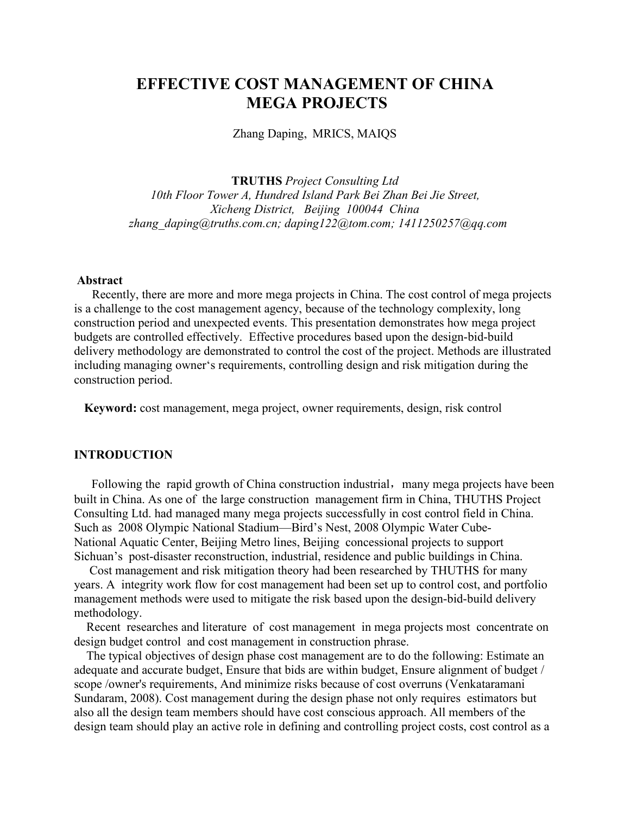# **EFFECTIVE COST MANAGEMENT OF CHINA MEGA PROJECTS**

Zhang Daping, MRICS, MAIQS

**TRUTHS** *Project Consulting Ltd 10th Floor Tower A, Hundred Island Park Bei Zhan Bei Jie Street, Xicheng District, Beijing 100044 China zhang\_daping@truths.com.cn; daping122@tom.com; [1411250257@qq.com](mailto:1411250257@qq.com)*

#### **Abstract**

Recently, there are more and more mega projects in China. The cost control of mega projects is a challenge to the cost management agency, because of the technology complexity, long construction period and unexpected events. This presentation demonstrates how mega project budgets are controlled effectively. Effective procedures based upon the design-bid-build delivery methodology are demonstrated to control the cost of the project. Methods are illustrated including managing owner's requirements, controlling design and risk mitigation during the construction period.

**Keyword:** cost management, mega project, owner requirements, design, risk control

#### **INTRODUCTION**

Following the rapid growth of China construction industrial, many mega projects have been built in China. As one of the large construction management firm in China, THUTHS Project Consulting Ltd. had managed many mega projects successfully in cost control field in China. Such as 2008 Olympic National Stadium—Bird's Nest, 2008 Olympic Water Cube-National Aquatic Center, Beijing Metro lines, Beijing concessional projects to support Sichuan's post-disaster reconstruction, industrial, residence and public buildings in China.

Cost management and risk mitigation theory had been researched by THUTHS for many years. A integrity work flow for cost management had been set up to control cost, and portfolio management methods were used to mitigate the risk based upon the design-bid-build delivery methodology.

Recent researches and literature of cost management in mega projects most concentrate on design budget control and cost management in construction phrase.

The typical objectives of design phase cost management are to do the following: Estimate an adequate and accurate budget, Ensure that bids are within budget, Ensure alignment of budget / scope /owner's requirements, And minimize risks because of cost overruns (Venkataramani Sundaram, 2008). Cost management during the design phase not only requires estimators but also all the design team members should have cost conscious approach. All members of the design team should play an active role in defining and controlling project costs, cost control as a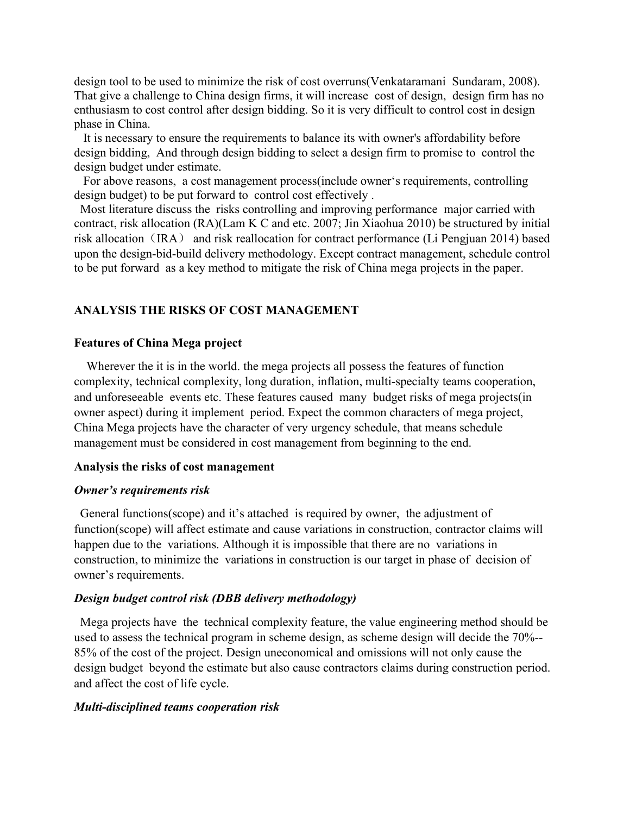design tool to be used to minimize the risk of cost overruns(Venkataramani Sundaram, 2008). That give a challenge to China design firms, it will increase cost of design, design firm has no enthusiasm to cost control after design bidding. So it is very difficult to control cost in design phase in China.

It is necessary to ensure the requirements to balance its with owner's affordability before design bidding, And through design bidding to select a design firm to promise to control the design budget under estimate.

For above reasons, a cost management process(include owner's requirements, controlling design budget) to be put forward to control cost effectively .

Most literature discuss the risks controlling and improving performance major carried with contract, risk allocation (RA)(Lam K C and etc. 2007; Jin Xiaohua 2010) be structured by initial risk allocation (IRA) and risk reallocation for contract performance (Li Pengjuan 2014) based upon the design-bid-build delivery methodology. Except contract management, schedule control to be put forward as a key method to mitigate the risk of China mega projects in the paper.

### **ANALYSIS THE RISKS OF COST MANAGEMENT**

#### **Features of China Mega project**

Wherever the it is in the world. the mega projects all possess the features of function complexity, technical complexity, long duration, inflation, multi-specialty teams cooperation, and unforeseeable events etc. These features caused many budget risks of mega projects(in owner aspect) during it implement period. Expect the common characters of mega project, China Mega projects have the character of very urgency schedule, that means schedule management must be considered in cost management from beginning to the end.

#### Analysis the risks of cost management

#### *Owner's requirements risk*

General functions(scope) and it's attached is required by owner, the adjustment of function(scope) will affect estimate and cause variations in construction, contractor claims will happen due to the variations. Although it is impossible that there are no variations in construction, to minimize the variations in construction is our target in phase of decision of owner's requirements.

#### *Design budget control risk (DBB delivery methodology)*

Mega projects have the technical complexity feature, the value engineering method should be used to assess the technical program in scheme design, as scheme design will decide the 70%-- 85% of the cost of the project. Design uneconomical and omissions will not only cause the design budget beyond the estimate but also cause contractors claims during construction period. and affect the cost of life cycle.

#### *Multi-disciplined teams cooperation risk*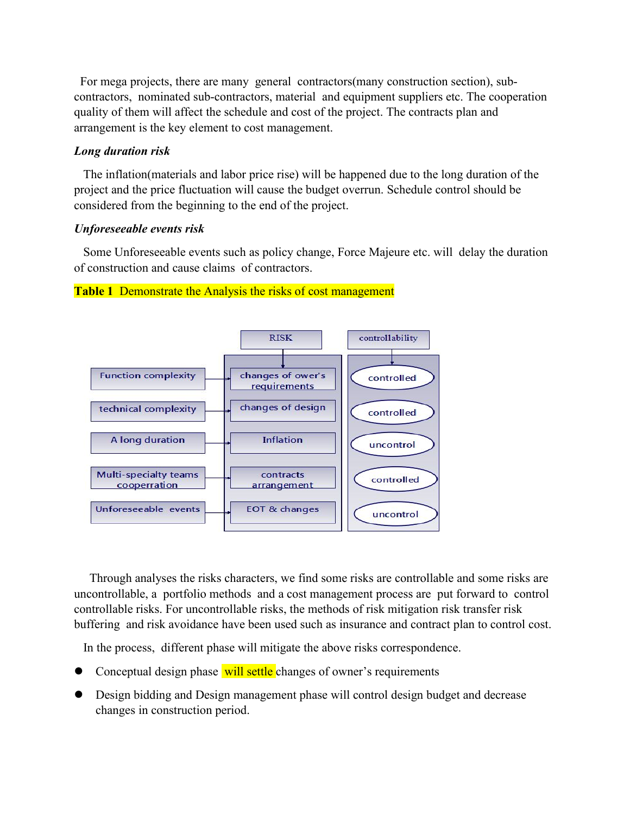For mega projects, there are many general contractors(many construction section), subcontractors, nominated sub-contractors, material and equipment suppliers etc. The cooperation quality of them will affect the schedule and cost of the project. The contracts plan and arrangement is the key element to cost management.

### *Long duration risk*

The inflation(materials and labor price rise) will be happened due to the long duration of the project and the price fluctuation will cause the budget overrun. Schedule control should be considered from the beginning to the end of the project.

### *Unforeseeable events risk*

Some Unforeseeable events such as policy change, Force Majeure etc. will delay the duration of construction and cause claims of contractors.



### **Table 1** Demonstrate the Analysis the risks of cost management

Through analyses the risks characters, we find some risks are controllable and some risks are uncontrollable, a portfolio methods and a cost management process are put forward to control controllable risks. For uncontrollable risks, the methods of risk mitigation risk transfer risk buffering and risk avoidance have been used such as insurance and contract plan to control cost.

In the process, different phase will mitigate the above risks correspondence.

- Conceptual design phase will settle changes of owner's requirements
- Design bidding and Design management phase will control design budget and decrease changes in construction period.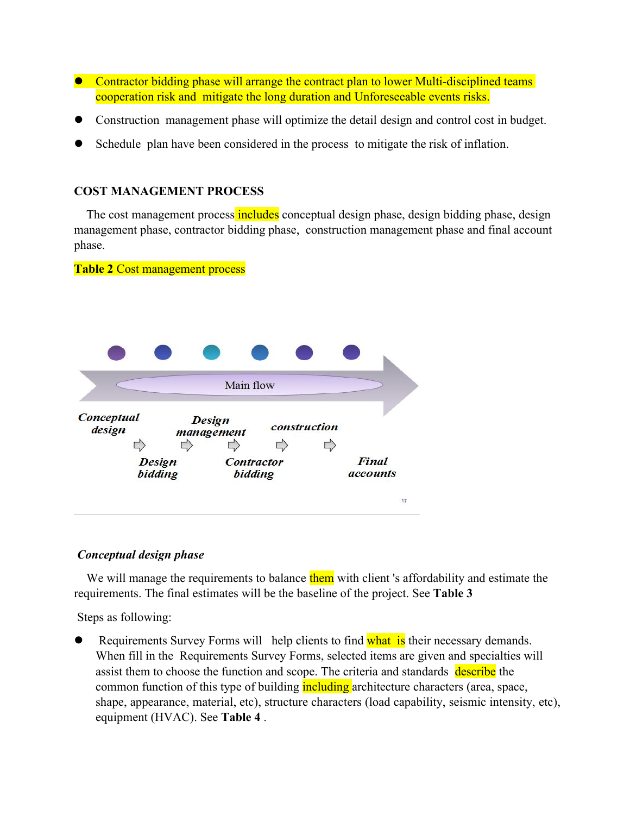- Contractor bidding phase will arrange the contract plan to lower Multi-disciplined teams cooperation risk and mitigate the long duration and Unforeseeable events risks.
- Construction management phase will optimize the detail design and control cost in budget.
- Schedule plan have been considered in the process to mitigate the risk of inflation.

## **COST MANAGEMENT PROCESS**

The cost management process includes conceptual design phase, design bidding phase, design management phase, contractor bidding phase, construction management phase and final account phase.

### **Table 2** Cost management process

|                             | Main flow |                              |              |  |                          |
|-----------------------------|-----------|------------------------------|--------------|--|--------------------------|
| <b>Conceptual</b><br>design |           | <b>Design</b><br>management  | construction |  |                          |
| <b>Design</b><br>bidding    |           | <b>Contractor</b><br>bidding |              |  | Final<br><i>accounts</i> |
|                             |           |                              |              |  | 17                       |

## *Conceptual design phase*

We will manage the requirements to balance them with client 's affordability and estimate the requirements. The final estimates will be the baseline of the project. See **Table 3**

Steps as following:

Requirements Survey Forms will help clients to find what is their necessary demands. When fill in the Requirements Survey Forms, selected items are given and specialties will assist them to choose the function and scope. The criteria and standards describe the common function of this type of building **including** architecture characters (area, space, shape, appearance, material, etc), structure characters (load capability, seismic intensity, etc), equipment (HVAC). See **Table 4** .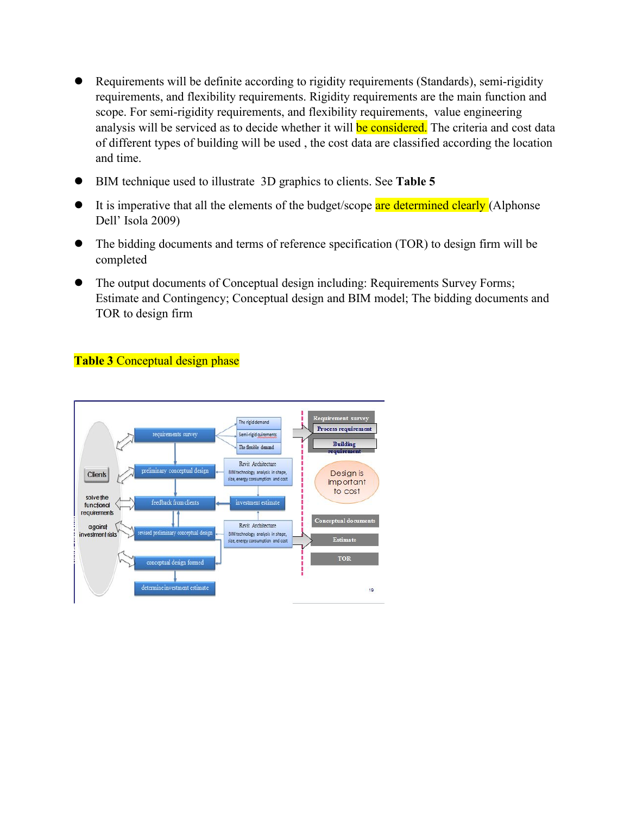- Requirements will be definite according to rigidity requirements (Standards), semi-rigidity requirements, and flexibility requirements. Rigidity requirements are the main function and scope. For semi-rigidity requirements, and flexibility requirements, value engineering analysis will be serviced as to decide whether it will be considered. The criteria and cost data of different types of building will be used, the cost data are classified according the location and time.
- BIM technique used to illustrate 3D graphics to clients. See **Table 5**
- $\bullet$  It is imperative that all the elements of the budget/scope are determined clearly (Alphonse Dell' Isola 2009)
- The bidding documents and terms of reference specification (TOR) to design firm will be completed
- The output documents of Conceptual design including: Requirements Survey Forms; Estimate and Contingency; Conceptual design and BIM model; The bidding documents and TOR to design firm

## **Table 3** Conceptual design phase

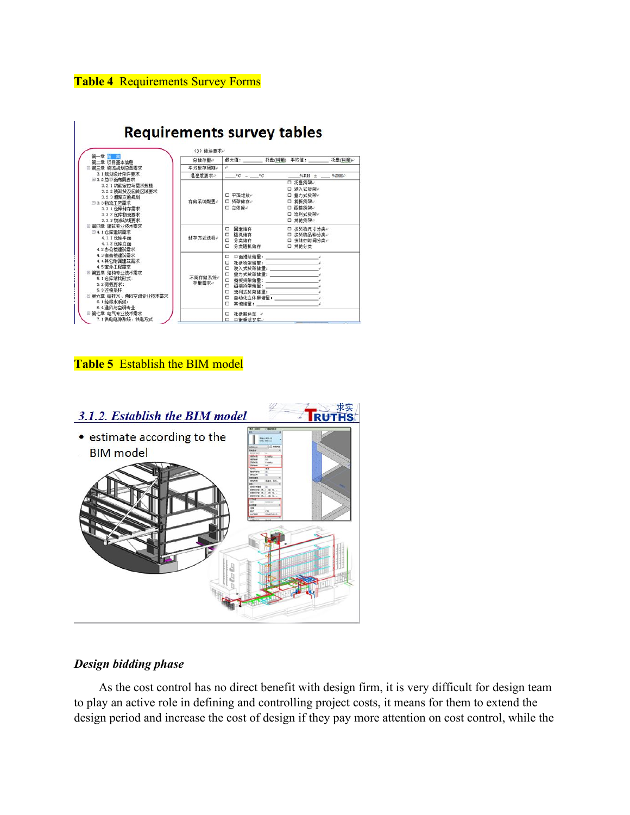## **Table 4** Requirements Survey Forms



## **Table 5** Establish the BIM model



## *Design bidding phase*

As the cost control has no direct benefit with design firm, it is very difficult for design team to play an active role in defining and controlling project costs, it means for them to extend the design period and increase the cost of design if they pay more attention on cost control, while the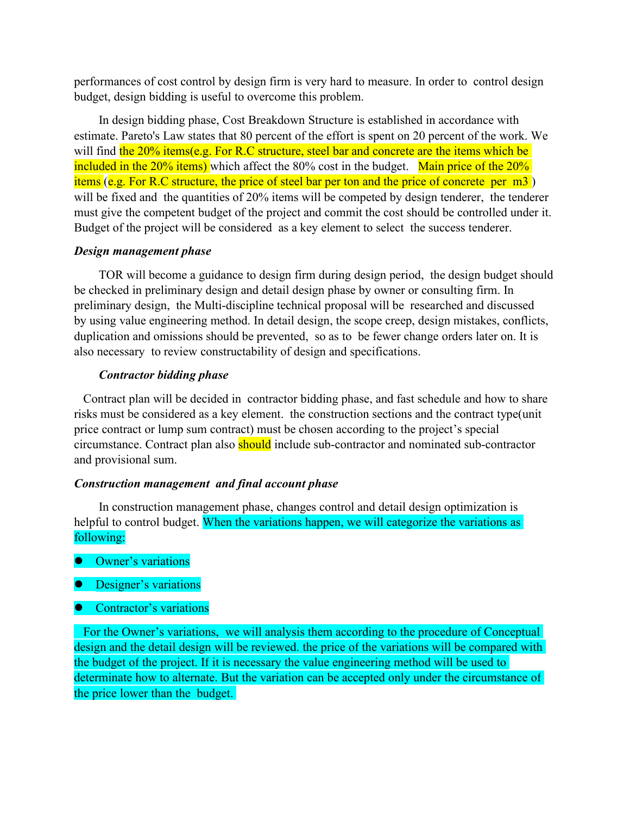performances of cost control by design firm is very hard to measure. In order to control design budget, design bidding is useful to overcome this problem.

In design bidding phase, Cost Breakdown Structure is established in accordance with estimate. Pareto's Law states that 80 percent of the effort is spent on 20 percent of the work. We will find the 20% items(e.g. For R.C structure, steel bar and concrete are the items which be included in the  $20\%$  items) which affect the 80% cost in the budget. Main price of the  $20\%$ items (e.g. For R.C structure, the price of steel bar per ton and the price of concrete per m3 ) will be fixed and the quantities of 20% items will be competed by design tenderer, the tenderer must give the competent budget of the project and commit the cost should be controlled under it. Budget of the project will be considered as a key element to select the success tenderer.

### *Design management phase*

TOR will become a guidance to design firm during design period, the design budget should be checked in preliminary design and detail design phase by owner or consulting firm. In preliminary design, the Multi-discipline technical proposal will be researched and discussed by using value engineering method. In detail design, the scope creep, design mistakes, conflicts, duplication and omissions should be prevented, so as to be fewer change orders later on. It is also necessary to review constructability of design and specifications.

### *Contractor bidding phase*

Contract plan will be decided in contractor bidding phase, and fast schedule and how to share risks must be considered as a key element. the construction sections and the contract type(unit price contract or lump sum contract) must be chosen according to the project's special circumstance. Contract plan also **should** include sub-contractor and nominated sub-contractor and provisional sum.

#### *Construction management and final account phase*

In construction management phase, changes control and detail design optimization is helpful to control budget. When the variations happen, we will categorize the variations as following:

- Owner's variations
- Designer's variations
- Contractor's variations

For the Owner's variations, we will analysis them according to the procedure of Conceptual design and the detail design will be reviewed. the price of the variations will be compared with the budget of the project. If it is necessary the value engineering method will be used to determinate how to alternate. But the variation can be accepted only under the circumstance of the price lower than the budget.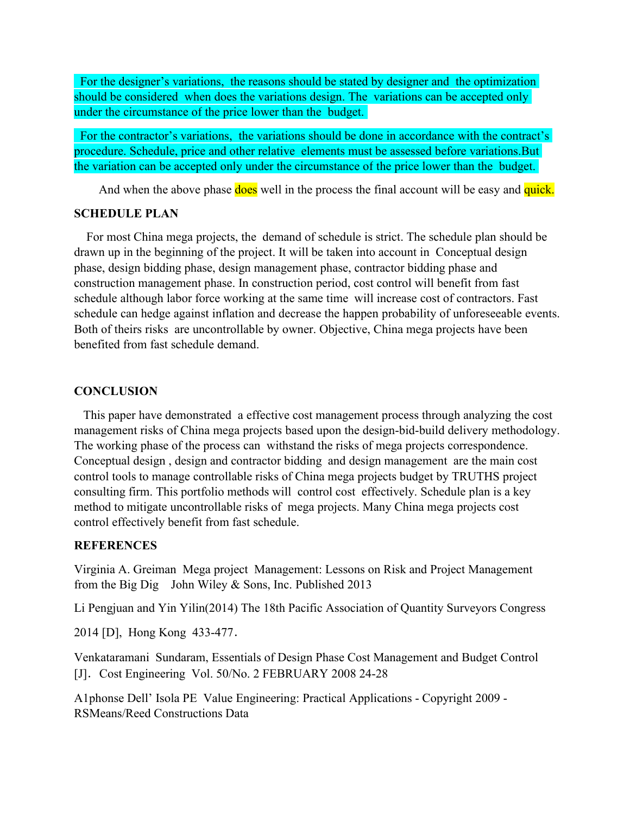For the designer's variations, the reasons should be stated by designer and the optimization should be considered when does the variations design. The variations can be accepted only under the circumstance of the price lower than the budget.

For the contractor's variations, the variations should be done in accordance with the contract's procedure. Schedule, price and other relative elements must be assessed before variations.But the variation can be accepted only under the circumstance of the price lower than the budget.

And when the above phase does well in the process the final account will be easy and quick.

### **SCHEDULE PLAN**

For most China mega projects, the demand of schedule is strict. The schedule plan should be drawn up in the beginning of the project. It will be taken into account in Conceptual design phase, design bidding phase, design management phase, contractor bidding phase and construction management phase. In construction period, cost control will benefit from fast schedule although labor force working at the same time will increase cost of contractors. Fast schedule can hedge against inflation and decrease the happen probability of unforeseeable events. Both of theirs risks are uncontrollable by owner. Objective, China mega projects have been benefited from fast schedule demand.

### **CONCLUSION**

This paper have demonstrated a effective cost management process through analyzing the cost management risks of China mega projects based upon the design-bid-build delivery methodology. The working phase of the process can withstand the risks of mega projects correspondence. Conceptual design , design and contractor bidding and design management are the main cost control tools to manage controllable risks of China mega projects budget by TRUTHS project consulting firm. This portfolio methods will control cost effectively. Schedule plan is a key method to mitigate uncontrollable risks of mega projects.Many China mega projects cost control effectively benefit from fast schedule.

### **REFERENCES**

Virginia A. Greiman Mega project Management: Lessons on Risk and Project Management from the Big Dig John Wiley & Sons, Inc. Published 2013

Li Pengjuan and Yin Yilin(2014) The 18th Pacific Association of Quantity Surveyors Congress

2014 [D], Hong Kong 433-477.

Venkataramani Sundaram, Essentials ofDesign Phase Cost Management and Budget Control [J]. Cost Engineering Vol. 50/No. 2 FEBRUARY 2008 24-28

A1phonse Dell' Isola PE Value Engineering: Practical Applications - Copyright 2009 - RSMeans/Reed Constructions Data